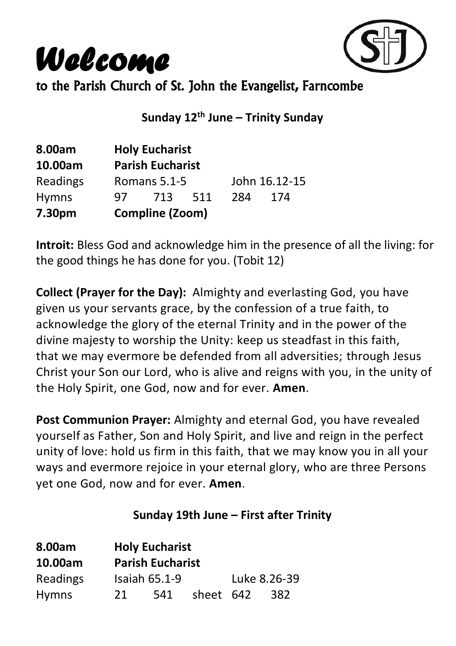*Welcome*



to the Parish Church of St. John the Evangelist, Farncombe

**Sunday 12th June – Trinity Sunday**

| 8.00am       |     | <b>Holy Eucharist</b>   |      |               |     |
|--------------|-----|-------------------------|------|---------------|-----|
| 10.00am      |     | <b>Parish Eucharist</b> |      |               |     |
| Readings     |     | Romans 5.1-5            |      | John 16.12-15 |     |
| <b>Hymns</b> | 97. | 713                     | -511 | 284           | 174 |
| 7.30pm       |     | Compline (Zoom)         |      |               |     |

**Introit:** Bless God and acknowledge him in the presence of all the living: for the good things he has done for you. (Tobit 12)

**Collect (Prayer for the Day):** Almighty and everlasting God, you have given us your servants grace, by the confession of a true faith, to acknowledge the glory of the eternal Trinity and in the power of the divine majesty to worship the Unity: keep us steadfast in this faith, that we may evermore be defended from all adversities; through Jesus Christ your Son our Lord, who is alive and reigns with you, in the unity of the Holy Spirit, one God, now and for ever. **Amen**.

**Post Communion Prayer:** Almighty and eternal God, you have revealed yourself as Father, Son and Holy Spirit, and live and reign in the perfect unity of love: hold us firm in this faith, that we may know you in all your ways and evermore rejoice in your eternal glory, who are three Persons yet one God, now and for ever. **Amen**.

#### **Sunday 19th June – First after Trinity**

| 8.00am       |    | <b>Holy Eucharist</b>   |           |              |
|--------------|----|-------------------------|-----------|--------------|
| 10.00am      |    | <b>Parish Eucharist</b> |           |              |
| Readings     |    | Isaiah $65.1-9$         |           | Luke 8.26-39 |
| <b>Hymns</b> | 21 | 541                     | sheet 642 | 382          |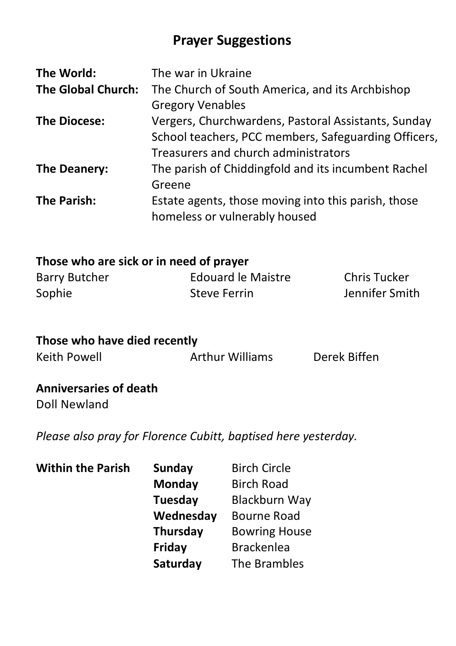## **Prayer Suggestions**

| The World:                | The war in Ukraine                                   |
|---------------------------|------------------------------------------------------|
| <b>The Global Church:</b> | The Church of South America, and its Archbishop      |
|                           | <b>Gregory Venables</b>                              |
| <b>The Diocese:</b>       | Vergers, Churchwardens, Pastoral Assistants, Sunday  |
|                           | School teachers, PCC members, Safeguarding Officers, |
|                           | Treasurers and church administrators                 |
| The Deanery:              | The parish of Chiddingfold and its incumbent Rachel  |
|                           | Greene                                               |
| The Parish:               | Estate agents, those moving into this parish, those  |
|                           | homeless or vulnerably housed                        |

### **Those who are sick or in need of prayer**

| Barry Butcher | Edouard le Maistre | <b>Chris Tucker</b> |
|---------------|--------------------|---------------------|
| Sophie        | Steve Ferrin       | Jennifer Smith      |

| Those who have died recently |                        |              |  |  |
|------------------------------|------------------------|--------------|--|--|
| Keith Powell                 | <b>Arthur Williams</b> | Derek Biffen |  |  |

#### **Anniversaries of death** Doll Newland

*Please also pray for Florence Cubitt, baptised here yesterday.*

| <b>Sunday</b>   | <b>Birch Circle</b>  |
|-----------------|----------------------|
| Monday          | <b>Birch Road</b>    |
| <b>Tuesday</b>  | Blackburn Way        |
| Wednesday       | <b>Bourne Road</b>   |
| <b>Thursday</b> | <b>Bowring House</b> |
| Friday          | <b>Brackenlea</b>    |
| Saturday        | The Brambles         |
|                 |                      |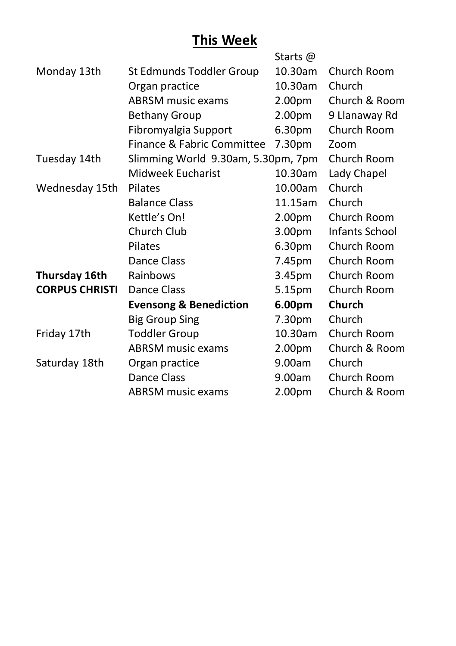## **This Week**

|                                   | Starts @           |                                    |
|-----------------------------------|--------------------|------------------------------------|
| St Edmunds Toddler Group          | 10.30am            | Church Room                        |
| Organ practice                    | 10.30am            | Church                             |
| <b>ABRSM music exams</b>          | 2.00 <sub>pm</sub> | Church & Room                      |
| <b>Bethany Group</b>              | 2.00 <sub>pm</sub> | 9 Llanaway Rd                      |
| Fibromyalgia Support              | 6.30 <sub>pm</sub> | Church Room                        |
| Finance & Fabric Committee        | 7.30pm             | Zoom                               |
|                                   |                    | Church Room                        |
| Midweek Eucharist                 | 10.30am            | Lady Chapel                        |
| <b>Pilates</b>                    | 10.00am            | Church                             |
| <b>Balance Class</b>              | 11.15am            | Church                             |
| Kettle's On!                      | 2.00 <sub>pm</sub> | Church Room                        |
| Church Club                       | 3.00 <sub>pm</sub> | Infants School                     |
| <b>Pilates</b>                    | 6.30pm             | Church Room                        |
| Dance Class                       | 7.45pm             | Church Room                        |
| Rainbows                          | 3.45pm             | Church Room                        |
| Dance Class                       | 5.15pm             | Church Room                        |
| <b>Evensong &amp; Benediction</b> | 6.00pm             | Church                             |
| <b>Big Group Sing</b>             | 7.30pm             | Church                             |
| <b>Toddler Group</b>              | 10.30am            | Church Room                        |
| <b>ABRSM music exams</b>          | 2.00 <sub>pm</sub> | Church & Room                      |
| Organ practice                    | 9.00am             | Church                             |
| Dance Class                       | 9.00am             | Church Room                        |
| <b>ABRSM music exams</b>          | 2.00pm             | Church & Room                      |
|                                   |                    | Slimming World 9.30am, 5.30pm, 7pm |